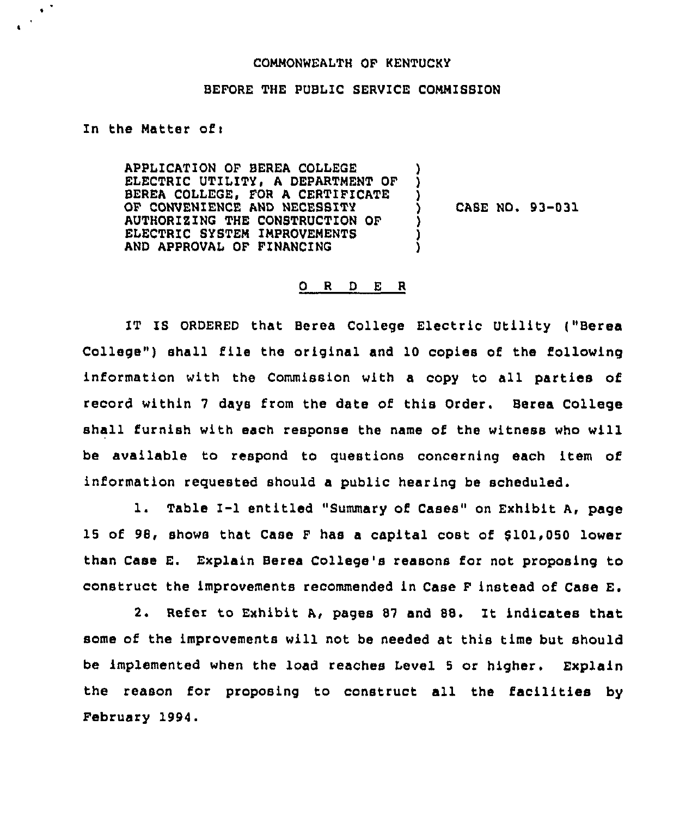## COMMONWEALTH OF KENTUCKY

## BEFORE THE PUBLIC SERVICE COMMISSION

In the Natter of <sup>i</sup>

 $\epsilon^{-2}$ 

APPLICATION OF BEREA COLLEGE ELECTRIC UTILITY, A DEPARTMENT OF BEREA COLLEGE, FOR A CERTIFICATE OF CONVENIENCE AND NECESSITY AUTHORIZING THE CONSTRUCTION OF ELECTRIC SYSTEM IMPROVEMENTS AND APPROVAL OF FINANCING ) ) )<br>) ) ) )

) CASE NO. 93-031

## 0 <sup>R</sup> <sup>D</sup> E R

IT IS ORDERED that Berea College Electric Utility ("Berea College") shall file the original and 10 copies of the following information with the Commission with a copy to all parties of record within <sup>7</sup> days from the date of this Order. Berea College shall furnish with each response the name of the witness who will be available to respond to questions concerning each item of information requested should a public hearing be scheduled.

1. Table I-1 entitled "Summary of Cases" on Exhibit A, page 15 of 98, shows that Case F has a capital cost of \$101,050 lower than Case E. Explain Berea College's reasons for not proposing to construct the improvements recommended in Case F instead of Case E.

2. Refer to Exhibit A, pages <sup>87</sup> and SS. It indicates that some of the improvements will not be needed at this time but should be implemented when the load reaches Level 5 or higher. Explain the reason for proposing to construct all the facilities by February 1994.